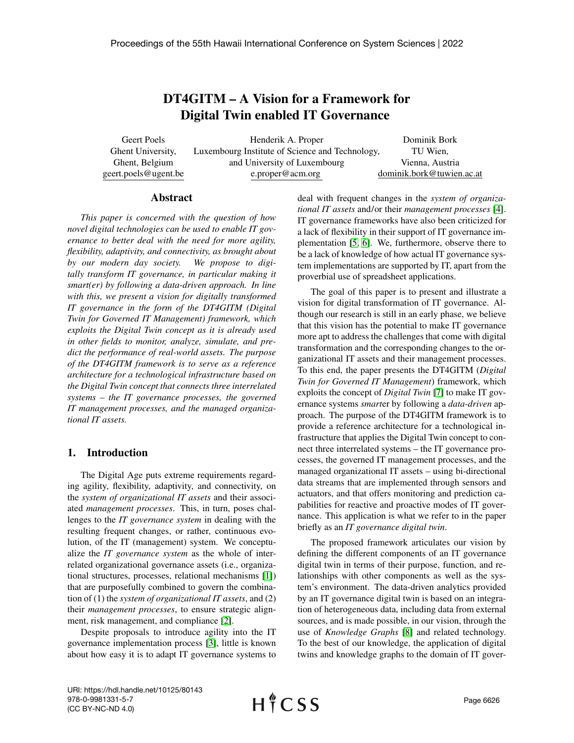# DT4GITM – A Vision for a Framework for Digital Twin enabled IT Governance

Geert Poels Ghent University, Ghent, Belgium geert.poels@ugent.be

Henderik A. Proper Luxembourg Institute of Science and Technology, and University of Luxembourg e.proper@acm.org

Dominik Bork TU Wien, Vienna, Austria dominik.bork@tuwien.ac.at

#### Abstract

*This paper is concerned with the question of how novel digital technologies can be used to enable IT governance to better deal with the need for more agility, flexibility, adaptivity, and connectivity, as brought about by our modern day society. We propose to digitally transform IT governance, in particular making it smart(er) by following a data-driven approach. In line with this, we present a vision for digitally transformed IT governance in the form of the DT4GITM (Digital Twin for Governed IT Management) framework, which exploits the Digital Twin concept as it is already used in other fields to monitor, analyze, simulate, and predict the performance of real-world assets. The purpose of the DT4GITM framework is to serve as a reference architecture for a technological infrastructure based on the Digital Twin concept that connects three interrelated systems – the IT governance processes, the governed IT management processes, and the managed organizational IT assets.*

## 1. Introduction

The Digital Age puts extreme requirements regarding agility, flexibility, adaptivity, and connectivity, on the *system of organizational IT assets* and their associated *management processes*. This, in turn, poses challenges to the *IT governance system* in dealing with the resulting frequent changes, or rather, continuous evolution, of the IT (management) system. We conceptualize the *IT governance system* as the whole of interrelated organizational governance assets (i.e., organizational structures, processes, relational mechanisms [\[1\]](#page-8-0)) that are purposefully combined to govern the combination of (1) the *system of organizational IT assets*, and (2) their *management processes*, to ensure strategic alignment, risk management, and compliance [\[2\]](#page-8-1).

Despite proposals to introduce agility into the IT governance implementation process [\[3\]](#page-8-2), little is known about how easy it is to adapt IT governance systems to deal with frequent changes in the *system of organizational IT assets* and/or their *management processes* [\[4\]](#page-8-3). IT governance frameworks have also been criticized for a lack of flexibility in their support of IT governance implementation [\[5,](#page-8-4) [6\]](#page-8-5). We, furthermore, observe there to be a lack of knowledge of how actual IT governance system implementations are supported by IT, apart from the proverbial use of spreadsheet applications.

The goal of this paper is to present and illustrate a vision for digital transformation of IT governance. Although our research is still in an early phase, we believe that this vision has the potential to make IT governance more apt to address the challenges that come with digital transformation and the corresponding changes to the organizational IT assets and their management processes. To this end, the paper presents the DT4GITM (*Digital Twin for Governed IT Management*) framework, which exploits the concept of *Digital Twin* [\[7\]](#page-8-6) to make IT governance systems *smart*er by following a *data-driven* approach. The purpose of the DT4GITM framework is to provide a reference architecture for a technological infrastructure that applies the Digital Twin concept to connect three interrelated systems – the IT governance processes, the governed IT management processes, and the managed organizational IT assets – using bi-directional data streams that are implemented through sensors and actuators, and that offers monitoring and prediction capabilities for reactive and proactive modes of IT governance. This application is what we refer to in the paper briefly as an *IT governance digital twin*.

The proposed framework articulates our vision by defining the different components of an IT governance digital twin in terms of their purpose, function, and relationships with other components as well as the system's environment. The data-driven analytics provided by an IT governance digital twin is based on an integration of heterogeneous data, including data from external sources, and is made possible, in our vision, through the use of *Knowledge Graphs* [\[8\]](#page-8-7) and related technology. To the best of our knowledge, the application of digital twins and knowledge graphs to the domain of IT gover-

URI: https://hdl.handle.net/10125/80143 978-0-9981331-5-7 (CC BY-NC-ND 4.0)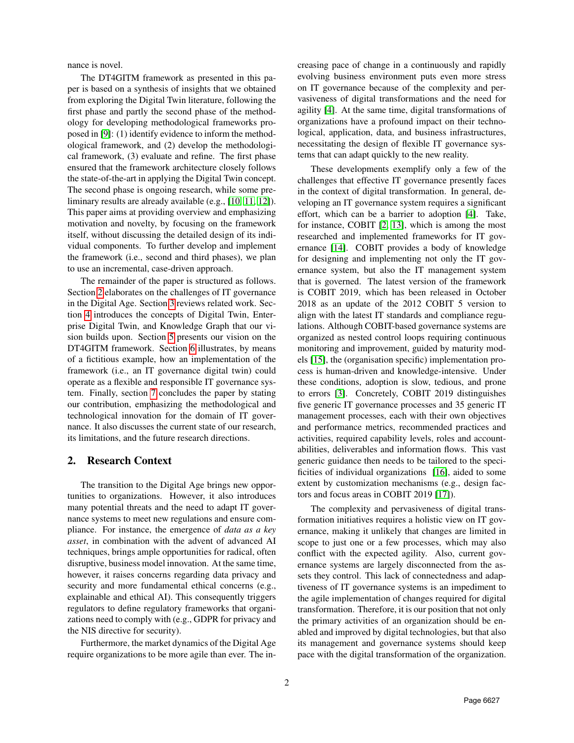nance is novel.

The DT4GITM framework as presented in this paper is based on a synthesis of insights that we obtained from exploring the Digital Twin literature, following the first phase and partly the second phase of the methodology for developing methodological frameworks proposed in [\[9\]](#page-8-8): (1) identify evidence to inform the methodological framework, and (2) develop the methodological framework, (3) evaluate and refine. The first phase ensured that the framework architecture closely follows the state-of-the-art in applying the Digital Twin concept. The second phase is ongoing research, while some preliminary results are already available (e.g., [\[10,](#page-8-9) [11,](#page-8-10) [12\]](#page-8-11)). This paper aims at providing overview and emphasizing motivation and novelty, by focusing on the framework itself, without discussing the detailed design of its individual components. To further develop and implement the framework (i.e., second and third phases), we plan to use an incremental, case-driven approach.

The remainder of the paper is structured as follows. Section [2](#page-1-0) elaborates on the challenges of IT governance in the Digital Age. Section [3](#page-2-0) reviews related work. Section [4](#page-2-1) introduces the concepts of Digital Twin, Enterprise Digital Twin, and Knowledge Graph that our vision builds upon. Section [5](#page-3-0) presents our vision on the DT4GITM framework. Section [6](#page-7-0) illustrates, by means of a fictitious example, how an implementation of the framework (i.e., an IT governance digital twin) could operate as a flexible and responsible IT governance system. Finally, section [7](#page-8-12) concludes the paper by stating our contribution, emphasizing the methodological and technological innovation for the domain of IT governance. It also discusses the current state of our research, its limitations, and the future research directions.

## <span id="page-1-0"></span>2. Research Context

The transition to the Digital Age brings new opportunities to organizations. However, it also introduces many potential threats and the need to adapt IT governance systems to meet new regulations and ensure compliance. For instance, the emergence of *data as a key asset*, in combination with the advent of advanced AI techniques, brings ample opportunities for radical, often disruptive, business model innovation. At the same time, however, it raises concerns regarding data privacy and security and more fundamental ethical concerns (e.g., explainable and ethical AI). This consequently triggers regulators to define regulatory frameworks that organizations need to comply with (e.g., GDPR for privacy and the NIS directive for security).

Furthermore, the market dynamics of the Digital Age require organizations to be more agile than ever. The increasing pace of change in a continuously and rapidly evolving business environment puts even more stress on IT governance because of the complexity and pervasiveness of digital transformations and the need for agility [\[4\]](#page-8-3). At the same time, digital transformations of organizations have a profound impact on their technological, application, data, and business infrastructures, necessitating the design of flexible IT governance systems that can adapt quickly to the new reality.

These developments exemplify only a few of the challenges that effective IT governance presently faces in the context of digital transformation. In general, developing an IT governance system requires a significant effort, which can be a barrier to adoption [\[4\]](#page-8-3). Take, for instance, COBIT [\[2,](#page-8-1) [13\]](#page-9-0), which is among the most researched and implemented frameworks for IT governance [\[14\]](#page-9-1). COBIT provides a body of knowledge for designing and implementing not only the IT governance system, but also the IT management system that is governed. The latest version of the framework is COBIT 2019, which has been released in October 2018 as an update of the 2012 COBIT 5 version to align with the latest IT standards and compliance regulations. Although COBIT-based governance systems are organized as nested control loops requiring continuous monitoring and improvement, guided by maturity models [\[15\]](#page-9-2), the (organisation specific) implementation process is human-driven and knowledge-intensive. Under these conditions, adoption is slow, tedious, and prone to errors [\[3\]](#page-8-2). Concretely, COBIT 2019 distinguishes five generic IT governance processes and 35 generic IT management processes, each with their own objectives and performance metrics, recommended practices and activities, required capability levels, roles and accountabilities, deliverables and information flows. This vast generic guidance then needs to be tailored to the specificities of individual organizations [\[16\]](#page-9-3), aided to some extent by customization mechanisms (e.g., design factors and focus areas in COBIT 2019 [\[17\]](#page-9-4)).

The complexity and pervasiveness of digital transformation initiatives requires a holistic view on IT governance, making it unlikely that changes are limited in scope to just one or a few processes, which may also conflict with the expected agility. Also, current governance systems are largely disconnected from the assets they control. This lack of connectedness and adaptiveness of IT governance systems is an impediment to the agile implementation of changes required for digital transformation. Therefore, it is our position that not only the primary activities of an organization should be enabled and improved by digital technologies, but that also its management and governance systems should keep pace with the digital transformation of the organization.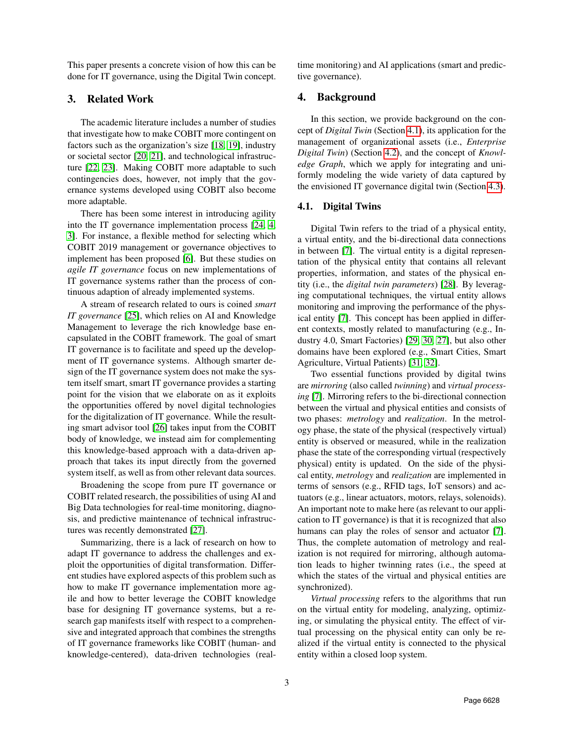This paper presents a concrete vision of how this can be done for IT governance, using the Digital Twin concept.

# <span id="page-2-0"></span>3. Related Work

The academic literature includes a number of studies that investigate how to make COBIT more contingent on factors such as the organization's size [\[18,](#page-9-5) [19\]](#page-9-6), industry or societal sector [\[20,](#page-9-7) [21\]](#page-9-8), and technological infrastructure [\[22,](#page-9-9) [23\]](#page-9-10). Making COBIT more adaptable to such contingencies does, however, not imply that the governance systems developed using COBIT also become more adaptable.

There has been some interest in introducing agility into the IT governance implementation process [\[24,](#page-9-11) [4,](#page-8-3) [3\]](#page-8-2). For instance, a flexible method for selecting which COBIT 2019 management or governance objectives to implement has been proposed [\[6\]](#page-8-5). But these studies on *agile IT governance* focus on new implementations of IT governance systems rather than the process of continuous adaption of already implemented systems.

A stream of research related to ours is coined *smart IT governance* [\[25\]](#page-9-12), which relies on AI and Knowledge Management to leverage the rich knowledge base encapsulated in the COBIT framework. The goal of smart IT governance is to facilitate and speed up the development of IT governance systems. Although smarter design of the IT governance system does not make the system itself smart, smart IT governance provides a starting point for the vision that we elaborate on as it exploits the opportunities offered by novel digital technologies for the digitalization of IT governance. While the resulting smart advisor tool [\[26\]](#page-9-13) takes input from the COBIT body of knowledge, we instead aim for complementing this knowledge-based approach with a data-driven approach that takes its input directly from the governed system itself, as well as from other relevant data sources.

Broadening the scope from pure IT governance or COBIT related research, the possibilities of using AI and Big Data technologies for real-time monitoring, diagnosis, and predictive maintenance of technical infrastructures was recently demonstrated [\[27\]](#page-9-14).

Summarizing, there is a lack of research on how to adapt IT governance to address the challenges and exploit the opportunities of digital transformation. Different studies have explored aspects of this problem such as how to make IT governance implementation more agile and how to better leverage the COBIT knowledge base for designing IT governance systems, but a research gap manifests itself with respect to a comprehensive and integrated approach that combines the strengths of IT governance frameworks like COBIT (human- and knowledge-centered), data-driven technologies (realtime monitoring) and AI applications (smart and predictive governance).

# <span id="page-2-1"></span>4. Background

In this section, we provide background on the concept of *Digital Twin* (Section [4.1\)](#page-2-2), its application for the management of organizational assets (i.e., *Enterprise Digital Twin*) (Section [4.2\)](#page-3-1), and the concept of *Knowledge Graph*, which we apply for integrating and uniformly modeling the wide variety of data captured by the envisioned IT governance digital twin (Section [4.3\)](#page-3-2).

# <span id="page-2-2"></span>4.1. Digital Twins

Digital Twin refers to the triad of a physical entity, a virtual entity, and the bi-directional data connections in between [\[7\]](#page-8-6). The virtual entity is a digital representation of the physical entity that contains all relevant properties, information, and states of the physical entity (i.e., the *digital twin parameters*) [\[28\]](#page-9-15). By leveraging computational techniques, the virtual entity allows monitoring and improving the performance of the physical entity [\[7\]](#page-8-6). This concept has been applied in different contexts, mostly related to manufacturing (e.g., Industry 4.0, Smart Factories) [\[29,](#page-9-16) [30,](#page-9-17) [27\]](#page-9-14), but also other domains have been explored (e.g., Smart Cities, Smart Agriculture, Virtual Patients) [\[31,](#page-9-18) [32\]](#page-9-19).

Two essential functions provided by digital twins are *mirroring* (also called *twinning*) and *virtual processing* [\[7\]](#page-8-6). Mirroring refers to the bi-directional connection between the virtual and physical entities and consists of two phases: *metrology* and *realization*. In the metrology phase, the state of the physical (respectively virtual) entity is observed or measured, while in the realization phase the state of the corresponding virtual (respectively physical) entity is updated. On the side of the physical entity, *metrology* and *realization* are implemented in terms of sensors (e.g., RFID tags, IoT sensors) and actuators (e.g., linear actuators, motors, relays, solenoids). An important note to make here (as relevant to our application to IT governance) is that it is recognized that also humans can play the roles of sensor and actuator [\[7\]](#page-8-6). Thus, the complete automation of metrology and realization is not required for mirroring, although automation leads to higher twinning rates (i.e., the speed at which the states of the virtual and physical entities are synchronized).

*Virtual processing* refers to the algorithms that run on the virtual entity for modeling, analyzing, optimizing, or simulating the physical entity. The effect of virtual processing on the physical entity can only be realized if the virtual entity is connected to the physical entity within a closed loop system.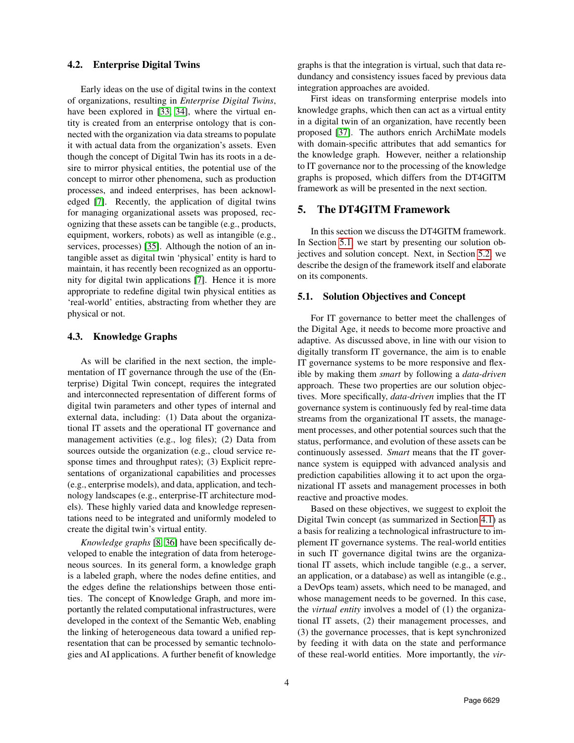#### <span id="page-3-1"></span>4.2. Enterprise Digital Twins

Early ideas on the use of digital twins in the context of organizations, resulting in *Enterprise Digital Twins*, have been explored in [\[33,](#page-9-20) [34\]](#page-9-21), where the virtual entity is created from an enterprise ontology that is connected with the organization via data streams to populate it with actual data from the organization's assets. Even though the concept of Digital Twin has its roots in a desire to mirror physical entities, the potential use of the concept to mirror other phenomena, such as production processes, and indeed enterprises, has been acknowledged [\[7\]](#page-8-6). Recently, the application of digital twins for managing organizational assets was proposed, recognizing that these assets can be tangible (e.g., products, equipment, workers, robots) as well as intangible (e.g., services, processes) [\[35\]](#page-9-22). Although the notion of an intangible asset as digital twin 'physical' entity is hard to maintain, it has recently been recognized as an opportunity for digital twin applications [\[7\]](#page-8-6). Hence it is more appropriate to redefine digital twin physical entities as 'real-world' entities, abstracting from whether they are physical or not.

#### <span id="page-3-2"></span>4.3. Knowledge Graphs

As will be clarified in the next section, the implementation of IT governance through the use of the (Enterprise) Digital Twin concept, requires the integrated and interconnected representation of different forms of digital twin parameters and other types of internal and external data, including: (1) Data about the organizational IT assets and the operational IT governance and management activities (e.g., log files); (2) Data from sources outside the organization (e.g., cloud service response times and throughput rates); (3) Explicit representations of organizational capabilities and processes (e.g., enterprise models), and data, application, and technology landscapes (e.g., enterprise-IT architecture models). These highly varied data and knowledge representations need to be integrated and uniformly modeled to create the digital twin's virtual entity.

*Knowledge graphs* [\[8,](#page-8-7) [36\]](#page-9-23) have been specifically developed to enable the integration of data from heterogeneous sources. In its general form, a knowledge graph is a labeled graph, where the nodes define entities, and the edges define the relationships between those entities. The concept of Knowledge Graph, and more importantly the related computational infrastructures, were developed in the context of the Semantic Web, enabling the linking of heterogeneous data toward a unified representation that can be processed by semantic technologies and AI applications. A further benefit of knowledge graphs is that the integration is virtual, such that data redundancy and consistency issues faced by previous data integration approaches are avoided.

First ideas on transforming enterprise models into knowledge graphs, which then can act as a virtual entity in a digital twin of an organization, have recently been proposed [\[37\]](#page-9-24). The authors enrich ArchiMate models with domain-specific attributes that add semantics for the knowledge graph. However, neither a relationship to IT governance nor to the processing of the knowledge graphs is proposed, which differs from the DT4GITM framework as will be presented in the next section.

## <span id="page-3-0"></span>5. The DT4GITM Framework

In this section we discuss the DT4GITM framework. In Section [5.1,](#page-3-3) we start by presenting our solution objectives and solution concept. Next, in Section [5.2,](#page-4-0) we describe the design of the framework itself and elaborate on its components.

#### <span id="page-3-3"></span>5.1. Solution Objectives and Concept

For IT governance to better meet the challenges of the Digital Age, it needs to become more proactive and adaptive. As discussed above, in line with our vision to digitally transform IT governance, the aim is to enable IT governance systems to be more responsive and flexible by making them *smart* by following a *data-driven* approach. These two properties are our solution objectives. More specifically, *data-driven* implies that the IT governance system is continuously fed by real-time data streams from the organizational IT assets, the management processes, and other potential sources such that the status, performance, and evolution of these assets can be continuously assessed. *Smart* means that the IT governance system is equipped with advanced analysis and prediction capabilities allowing it to act upon the organizational IT assets and management processes in both reactive and proactive modes.

Based on these objectives, we suggest to exploit the Digital Twin concept (as summarized in Section [4.1\)](#page-2-2) as a basis for realizing a technological infrastructure to implement IT governance systems. The real-world entities in such IT governance digital twins are the organizational IT assets, which include tangible (e.g., a server, an application, or a database) as well as intangible (e.g., a DevOps team) assets, which need to be managed, and whose management needs to be governed. In this case, the *virtual entity* involves a model of (1) the organizational IT assets, (2) their management processes, and (3) the governance processes, that is kept synchronized by feeding it with data on the state and performance of these real-world entities. More importantly, the *vir-*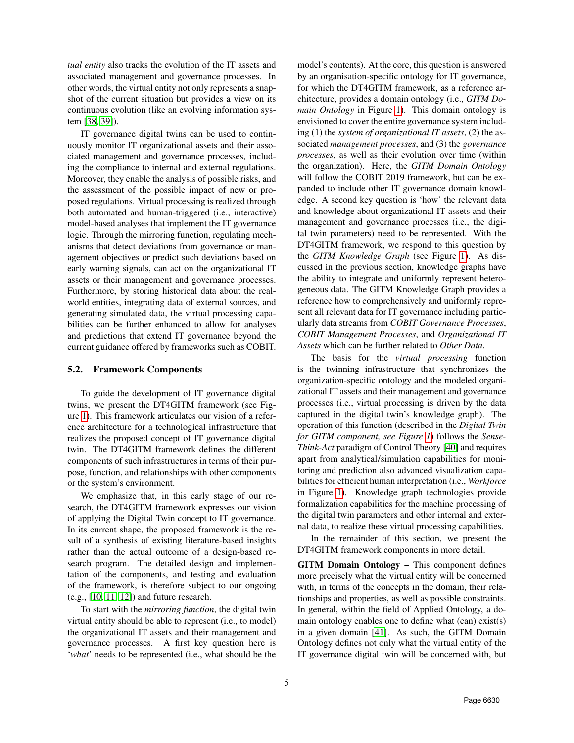*tual entity* also tracks the evolution of the IT assets and associated management and governance processes. In other words, the virtual entity not only represents a snapshot of the current situation but provides a view on its continuous evolution (like an evolving information system [\[38,](#page-9-25) [39\]](#page-9-26)).

IT governance digital twins can be used to continuously monitor IT organizational assets and their associated management and governance processes, including the compliance to internal and external regulations. Moreover, they enable the analysis of possible risks, and the assessment of the possible impact of new or proposed regulations. Virtual processing is realized through both automated and human-triggered (i.e., interactive) model-based analyses that implement the IT governance logic. Through the mirroring function, regulating mechanisms that detect deviations from governance or management objectives or predict such deviations based on early warning signals, can act on the organizational IT assets or their management and governance processes. Furthermore, by storing historical data about the realworld entities, integrating data of external sources, and generating simulated data, the virtual processing capabilities can be further enhanced to allow for analyses and predictions that extend IT governance beyond the current guidance offered by frameworks such as COBIT.

## <span id="page-4-0"></span>5.2. Framework Components

To guide the development of IT governance digital twins, we present the DT4GITM framework (see Figure [1\)](#page-5-0). This framework articulates our vision of a reference architecture for a technological infrastructure that realizes the proposed concept of IT governance digital twin. The DT4GITM framework defines the different components of such infrastructures in terms of their purpose, function, and relationships with other components or the system's environment.

We emphasize that, in this early stage of our research, the DT4GITM framework expresses our vision of applying the Digital Twin concept to IT governance. In its current shape, the proposed framework is the result of a synthesis of existing literature-based insights rather than the actual outcome of a design-based research program. The detailed design and implementation of the components, and testing and evaluation of the framework, is therefore subject to our ongoing (e.g., [\[10,](#page-8-9) [11,](#page-8-10) [12\]](#page-8-11)) and future research.

To start with the *mirroring function*, the digital twin virtual entity should be able to represent (i.e., to model) the organizational IT assets and their management and governance processes. A first key question here is '*what*' needs to be represented (i.e., what should be the

model's contents). At the core, this question is answered by an organisation-specific ontology for IT governance, for which the DT4GITM framework, as a reference architecture, provides a domain ontology (i.e., *GITM Domain Ontology* in Figure [1\)](#page-5-0). This domain ontology is envisioned to cover the entire governance system including (1) the *system of organizational IT assets*, (2) the associated *management processes*, and (3) the *governance processes*, as well as their evolution over time (within the organization). Here, the *GITM Domain Ontology* will follow the COBIT 2019 framework, but can be expanded to include other IT governance domain knowledge. A second key question is 'how' the relevant data and knowledge about organizational IT assets and their management and governance processes (i.e., the digital twin parameters) need to be represented. With the DT4GITM framework, we respond to this question by the *GITM Knowledge Graph* (see Figure [1\)](#page-5-0). As discussed in the previous section, knowledge graphs have the ability to integrate and uniformly represent heterogeneous data. The GITM Knowledge Graph provides a reference how to comprehensively and uniformly represent all relevant data for IT governance including particularly data streams from *COBIT Governance Processes*, *COBIT Management Processes*, and *Organizational IT Assets* which can be further related to *Other Data*.

The basis for the *virtual processing* function is the twinning infrastructure that synchronizes the organization-specific ontology and the modeled organizational IT assets and their management and governance processes (i.e., virtual processing is driven by the data captured in the digital twin's knowledge graph). The operation of this function (described in the *Digital Twin for GITM component, see Figure [1](#page-5-0)*) follows the *Sense-Think-Act* paradigm of Control Theory [\[40\]](#page-9-27) and requires apart from analytical/simulation capabilities for monitoring and prediction also advanced visualization capabilities for efficient human interpretation (i.e., *Workforce* in Figure [1\)](#page-5-0). Knowledge graph technologies provide formalization capabilities for the machine processing of the digital twin parameters and other internal and external data, to realize these virtual processing capabilities.

In the remainder of this section, we present the DT4GITM framework components in more detail.

GITM Domain Ontology – This component defines more precisely what the virtual entity will be concerned with, in terms of the concepts in the domain, their relationships and properties, as well as possible constraints. In general, within the field of Applied Ontology, a domain ontology enables one to define what (can) exist(s) in a given domain [\[41\]](#page-9-28). As such, the GITM Domain Ontology defines not only what the virtual entity of the IT governance digital twin will be concerned with, but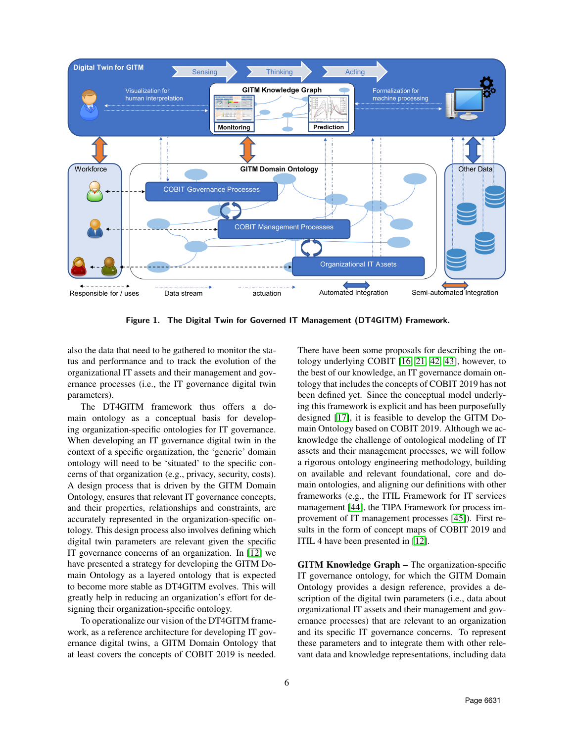

Figure 1. The Digital Twin for Governed IT Management (DT4GITM) Framework.

also the data that need to be gathered to monitor the status and performance and to track the evolution of the organizational IT assets and their management and governance processes (i.e., the IT governance digital twin parameters).

The DT4GITM framework thus offers a domain ontology as a conceptual basis for developing organization-specific ontologies for IT governance. When developing an IT governance digital twin in the context of a specific organization, the 'generic' domain ontology will need to be 'situated' to the specific concerns of that organization (e.g., privacy, security, costs). A design process that is driven by the GITM Domain Ontology, ensures that relevant IT governance concepts, and their properties, relationships and constraints, are accurately represented in the organization-specific ontology. This design process also involves defining which digital twin parameters are relevant given the specific IT governance concerns of an organization. In [\[12\]](#page-8-11) we have presented a strategy for developing the GITM Domain Ontology as a layered ontology that is expected to become more stable as DT4GITM evolves. This will greatly help in reducing an organization's effort for designing their organization-specific ontology.

To operationalize our vision of the DT4GITM framework, as a reference architecture for developing IT governance digital twins, a GITM Domain Ontology that at least covers the concepts of COBIT 2019 is needed.

<span id="page-5-0"></span>There have been some proposals for describing the ontology underlying COBIT [\[16,](#page-9-3) [21,](#page-9-8) [42,](#page-9-29) [43\]](#page-9-30), however, to the best of our knowledge, an IT governance domain ontology that includes the concepts of COBIT 2019 has not been defined yet. Since the conceptual model underlying this framework is explicit and has been purposefully designed [\[17\]](#page-9-4), it is feasible to develop the GITM Domain Ontology based on COBIT 2019. Although we acknowledge the challenge of ontological modeling of IT assets and their management processes, we will follow a rigorous ontology engineering methodology, building on available and relevant foundational, core and domain ontologies, and aligning our definitions with other frameworks (e.g., the ITIL Framework for IT services management [\[44\]](#page-9-31), the TIPA Framework for process improvement of IT management processes [\[45\]](#page-9-32)). First results in the form of concept maps of COBIT 2019 and ITIL 4 have been presented in [\[12\]](#page-8-11).

GITM Knowledge Graph – The organization-specific IT governance ontology, for which the GITM Domain Ontology provides a design reference, provides a description of the digital twin parameters (i.e., data about organizational IT assets and their management and governance processes) that are relevant to an organization and its specific IT governance concerns. To represent these parameters and to integrate them with other relevant data and knowledge representations, including data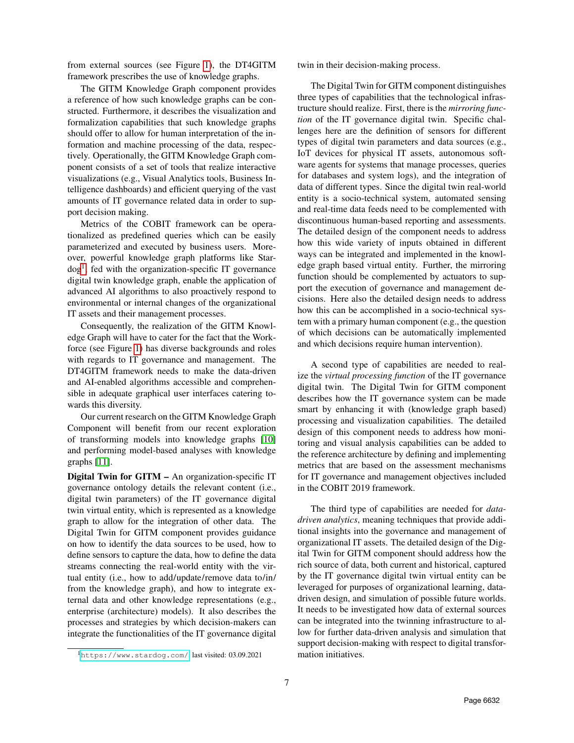from external sources (see Figure [1\)](#page-5-0), the DT4GITM framework prescribes the use of knowledge graphs.

The GITM Knowledge Graph component provides a reference of how such knowledge graphs can be constructed. Furthermore, it describes the visualization and formalization capabilities that such knowledge graphs should offer to allow for human interpretation of the information and machine processing of the data, respectively. Operationally, the GITM Knowledge Graph component consists of a set of tools that realize interactive visualizations (e.g., Visual Analytics tools, Business Intelligence dashboards) and efficient querying of the vast amounts of IT governance related data in order to support decision making.

Metrics of the COBIT framework can be operationalized as predefined queries which can be easily parameterized and executed by business users. Moreover, powerful knowledge graph platforms like Star-dog<sup>[1](#page-6-0)</sup>, fed with the organization-specific IT governance digital twin knowledge graph, enable the application of advanced AI algorithms to also proactively respond to environmental or internal changes of the organizational IT assets and their management processes.

Consequently, the realization of the GITM Knowledge Graph will have to cater for the fact that the Workforce (see Figure [1\)](#page-5-0) has diverse backgrounds and roles with regards to IT governance and management. The DT4GITM framework needs to make the data-driven and AI-enabled algorithms accessible and comprehensible in adequate graphical user interfaces catering towards this diversity.

Our current research on the GITM Knowledge Graph Component will benefit from our recent exploration of transforming models into knowledge graphs [\[10\]](#page-8-9) and performing model-based analyses with knowledge graphs [\[11\]](#page-8-10).

Digital Twin for GITM – An organization-specific IT governance ontology details the relevant content (i.e., digital twin parameters) of the IT governance digital twin virtual entity, which is represented as a knowledge graph to allow for the integration of other data. The Digital Twin for GITM component provides guidance on how to identify the data sources to be used, how to define sensors to capture the data, how to define the data streams connecting the real-world entity with the virtual entity (i.e., how to add/update/remove data to/in/ from the knowledge graph), and how to integrate external data and other knowledge representations (e.g., enterprise (architecture) models). It also describes the processes and strategies by which decision-makers can integrate the functionalities of the IT governance digital twin in their decision-making process.

The Digital Twin for GITM component distinguishes three types of capabilities that the technological infrastructure should realize. First, there is the *mirroring function* of the IT governance digital twin. Specific challenges here are the definition of sensors for different types of digital twin parameters and data sources (e.g., IoT devices for physical IT assets, autonomous software agents for systems that manage processes, queries for databases and system logs), and the integration of data of different types. Since the digital twin real-world entity is a socio-technical system, automated sensing and real-time data feeds need to be complemented with discontinuous human-based reporting and assessments. The detailed design of the component needs to address how this wide variety of inputs obtained in different ways can be integrated and implemented in the knowledge graph based virtual entity. Further, the mirroring function should be complemented by actuators to support the execution of governance and management decisions. Here also the detailed design needs to address how this can be accomplished in a socio-technical system with a primary human component (e.g., the question of which decisions can be automatically implemented and which decisions require human intervention).

A second type of capabilities are needed to realize the *virtual processing function* of the IT governance digital twin. The Digital Twin for GITM component describes how the IT governance system can be made smart by enhancing it with (knowledge graph based) processing and visualization capabilities. The detailed design of this component needs to address how monitoring and visual analysis capabilities can be added to the reference architecture by defining and implementing metrics that are based on the assessment mechanisms for IT governance and management objectives included in the COBIT 2019 framework.

The third type of capabilities are needed for *datadriven analytics*, meaning techniques that provide additional insights into the governance and management of organizational IT assets. The detailed design of the Digital Twin for GITM component should address how the rich source of data, both current and historical, captured by the IT governance digital twin virtual entity can be leveraged for purposes of organizational learning, datadriven design, and simulation of possible future worlds. It needs to be investigated how data of external sources can be integrated into the twinning infrastructure to allow for further data-driven analysis and simulation that support decision-making with respect to digital transformation initiatives.

<span id="page-6-0"></span><sup>1</sup><https://www.stardog.com/>, last visited: 03.09.2021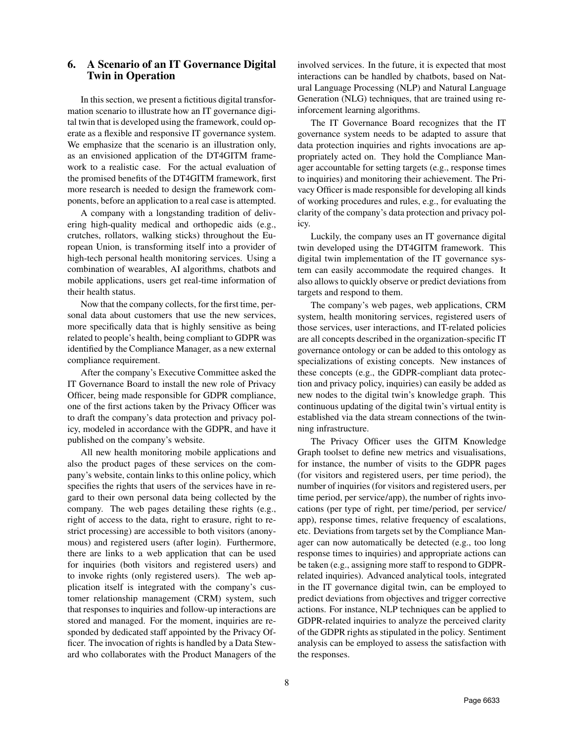# <span id="page-7-0"></span>6. A Scenario of an IT Governance Digital Twin in Operation

In this section, we present a fictitious digital transformation scenario to illustrate how an IT governance digital twin that is developed using the framework, could operate as a flexible and responsive IT governance system. We emphasize that the scenario is an illustration only, as an envisioned application of the DT4GITM framework to a realistic case. For the actual evaluation of the promised benefits of the DT4GITM framework, first more research is needed to design the framework components, before an application to a real case is attempted.

A company with a longstanding tradition of delivering high-quality medical and orthopedic aids (e.g., crutches, rollators, walking sticks) throughout the European Union, is transforming itself into a provider of high-tech personal health monitoring services. Using a combination of wearables, AI algorithms, chatbots and mobile applications, users get real-time information of their health status.

Now that the company collects, for the first time, personal data about customers that use the new services, more specifically data that is highly sensitive as being related to people's health, being compliant to GDPR was identified by the Compliance Manager, as a new external compliance requirement.

After the company's Executive Committee asked the IT Governance Board to install the new role of Privacy Officer, being made responsible for GDPR compliance, one of the first actions taken by the Privacy Officer was to draft the company's data protection and privacy policy, modeled in accordance with the GDPR, and have it published on the company's website.

All new health monitoring mobile applications and also the product pages of these services on the company's website, contain links to this online policy, which specifies the rights that users of the services have in regard to their own personal data being collected by the company. The web pages detailing these rights (e.g., right of access to the data, right to erasure, right to restrict processing) are accessible to both visitors (anonymous) and registered users (after login). Furthermore, there are links to a web application that can be used for inquiries (both visitors and registered users) and to invoke rights (only registered users). The web application itself is integrated with the company's customer relationship management (CRM) system, such that responses to inquiries and follow-up interactions are stored and managed. For the moment, inquiries are responded by dedicated staff appointed by the Privacy Officer. The invocation of rights is handled by a Data Steward who collaborates with the Product Managers of the involved services. In the future, it is expected that most interactions can be handled by chatbots, based on Natural Language Processing (NLP) and Natural Language Generation (NLG) techniques, that are trained using reinforcement learning algorithms.

The IT Governance Board recognizes that the IT governance system needs to be adapted to assure that data protection inquiries and rights invocations are appropriately acted on. They hold the Compliance Manager accountable for setting targets (e.g., response times to inquiries) and monitoring their achievement. The Privacy Officer is made responsible for developing all kinds of working procedures and rules, e.g., for evaluating the clarity of the company's data protection and privacy policy.

Luckily, the company uses an IT governance digital twin developed using the DT4GITM framework. This digital twin implementation of the IT governance system can easily accommodate the required changes. It also allows to quickly observe or predict deviations from targets and respond to them.

The company's web pages, web applications, CRM system, health monitoring services, registered users of those services, user interactions, and IT-related policies are all concepts described in the organization-specific IT governance ontology or can be added to this ontology as specializations of existing concepts. New instances of these concepts (e.g., the GDPR-compliant data protection and privacy policy, inquiries) can easily be added as new nodes to the digital twin's knowledge graph. This continuous updating of the digital twin's virtual entity is established via the data stream connections of the twinning infrastructure.

The Privacy Officer uses the GITM Knowledge Graph toolset to define new metrics and visualisations, for instance, the number of visits to the GDPR pages (for visitors and registered users, per time period), the number of inquiries (for visitors and registered users, per time period, per service/app), the number of rights invocations (per type of right, per time/period, per service/ app), response times, relative frequency of escalations, etc. Deviations from targets set by the Compliance Manager can now automatically be detected (e.g., too long response times to inquiries) and appropriate actions can be taken (e.g., assigning more staff to respond to GDPRrelated inquiries). Advanced analytical tools, integrated in the IT governance digital twin, can be employed to predict deviations from objectives and trigger corrective actions. For instance, NLP techniques can be applied to GDPR-related inquiries to analyze the perceived clarity of the GDPR rights as stipulated in the policy. Sentiment analysis can be employed to assess the satisfaction with the responses.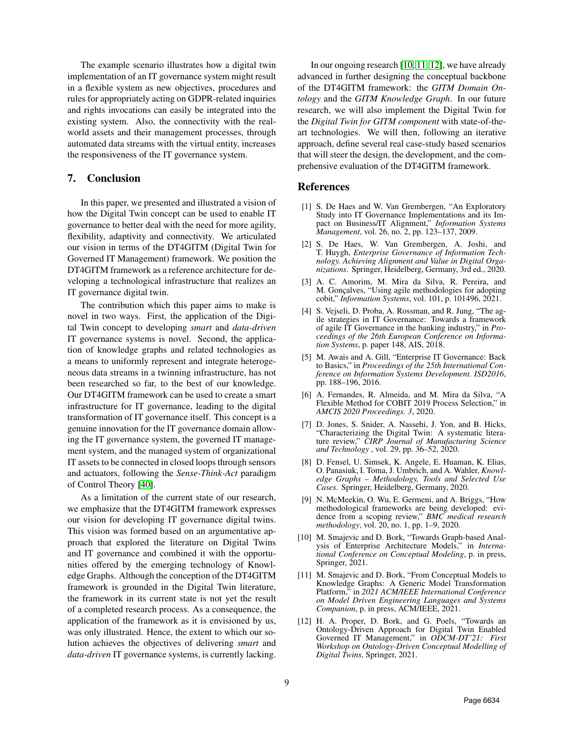The example scenario illustrates how a digital twin implementation of an IT governance system might result in a flexible system as new objectives, procedures and rules for appropriately acting on GDPR-related inquiries and rights invocations can easily be integrated into the existing system. Also, the connectivity with the realworld assets and their management processes, through automated data streams with the virtual entity, increases the responsiveness of the IT governance system.

# <span id="page-8-12"></span>7. Conclusion

In this paper, we presented and illustrated a vision of how the Digital Twin concept can be used to enable IT governance to better deal with the need for more agility, flexibility, adaptivity and connectivity. We articulated our vision in terms of the DT4GITM (Digital Twin for Governed IT Management) framework. We position the DT4GITM framework as a reference architecture for developing a technological infrastructure that realizes an IT governance digital twin.

The contribution which this paper aims to make is novel in two ways. First, the application of the Digital Twin concept to developing *smart* and *data-driven* IT governance systems is novel. Second, the application of knowledge graphs and related technologies as a means to uniformly represent and integrate heterogeneous data streams in a twinning infrastructure, has not been researched so far, to the best of our knowledge. Our DT4GITM framework can be used to create a smart infrastructure for IT governance, leading to the digital transformation of IT governance itself. This concept is a genuine innovation for the IT governance domain allowing the IT governance system, the governed IT management system, and the managed system of organizational IT assets to be connected in closed loops through sensors and actuators, following the *Sense-Think-Act* paradigm of Control Theory [\[40\]](#page-9-27).

As a limitation of the current state of our research, we emphasize that the DT4GITM framework expresses our vision for developing IT governance digital twins. This vision was formed based on an argumentative approach that explored the literature on Digital Twins and IT governance and combined it with the opportunities offered by the emerging technology of Knowledge Graphs. Although the conception of the DT4GITM framework is grounded in the Digital Twin literature, the framework in its current state is not yet the result of a completed research process. As a consequence, the application of the framework as it is envisioned by us, was only illustrated. Hence, the extent to which our solution achieves the objectives of delivering *smart* and *data-driven* IT governance systems, is currently lacking.

In our ongoing research [\[10,](#page-8-9) [11,](#page-8-10) [12\]](#page-8-11), we have already advanced in further designing the conceptual backbone of the DT4GITM framework: the *GITM Domain Ontology* and the *GITM Knowledge Graph*. In our future research, we will also implement the Digital Twin for the *Digital Twin for GITM component* with state-of-theart technologies. We will then, following an iterative approach, define several real case-study based scenarios that will steer the design, the development, and the comprehensive evaluation of the DT4GITM framework.

## References

- <span id="page-8-0"></span>[1] S. De Haes and W. Van Grembergen, "An Exploratory Study into IT Governance Implementations and its Impact on Business/IT Alignment," *Information Systems Management*, vol. 26, no. 2, pp. 123–137, 2009.
- <span id="page-8-1"></span>[2] S. De Haes, W. Van Grembergen, A. Joshi, and T. Huygh, *Enterprise Governance of Information Technology. Achieving Alignment and Value in Digital Organizations*. Springer, Heidelberg, Germany, 3rd ed., 2020.
- <span id="page-8-2"></span>[3] A. C. Amorim, M. Mira da Silva, R. Pereira, and M. Gonçalves, "Using agile methodologies for adopting cobit," *Information Systems*, vol. 101, p. 101496, 2021.
- <span id="page-8-3"></span>[4] S. Vejseli, D. Proba, A. Rossman, and R. Jung, "The agile strategies in IT Governance: Towards a framework of agile IT Governance in the banking industry," in *Proceedings of the 26th European Conference on Information Systems*, p. paper 148, AIS, 2018.
- <span id="page-8-4"></span>[5] M. Awais and A. Gill, "Enterprise IT Governance: Back to Basics," in *Proceedings of the 25th International Conference on Information Systems Development. ISD2016*, pp. 188–196, 2016.
- <span id="page-8-5"></span>[6] A. Fernandes, R. Almeida, and M. Mira da Silva, "A Flexible Method for COBIT 2019 Process Selection," in *AMCIS 2020 Proceedings. 3*, 2020.
- <span id="page-8-6"></span>[7] D. Jones, S. Snider, A. Nassehi, J. Yon, and B. Hicks, "Characterizing the Digital Twin: A systematic literature review," *CIRP Journal of Manufacturing Science and Technology* , vol. 29, pp. 36–52, 2020.
- <span id="page-8-7"></span>[8] D. Fensel, U. Simsek, K. Angele, E. Huaman, K. Elias, O. Panasiuk, I. Toma, J. Umbrich, and A. Wahler, *Knowledge Graphs – Methodology, Tools and Selected Use Cases*. Springer, Heidelberg, Germany, 2020.
- <span id="page-8-8"></span>[9] N. McMeekin, O. Wu, E. Germeni, and A. Briggs, "How methodological frameworks are being developed: evidence from a scoping review," *BMC medical research methodology*, vol. 20, no. 1, pp. 1–9, 2020.
- <span id="page-8-9"></span>[10] M. Smajevic and D. Bork, "Towards Graph-based Analysis of Enterprise Architecture Models," in *International Conference on Conceptual Modeling*, p. in press, Springer, 2021.
- <span id="page-8-10"></span>[11] M. Smajevic and D. Bork, "From Conceptual Models to Knowledge Graphs: A Generic Model Transformation Platform," in *2021 ACM/IEEE International Conference on Model Driven Engineering Languages and Systems Companion*, p. in press, ACM/IEEE, 2021.
- <span id="page-8-11"></span>[12] H. A. Proper, D. Bork, and G. Poels, "Towards an Ontology-Driven Approach for Digital Twin Enabled Governed IT Management," in *ODCM-DT'21: First Workshop on Ontology-Driven Conceptual Modelling of Digital Twins*, Springer, 2021.